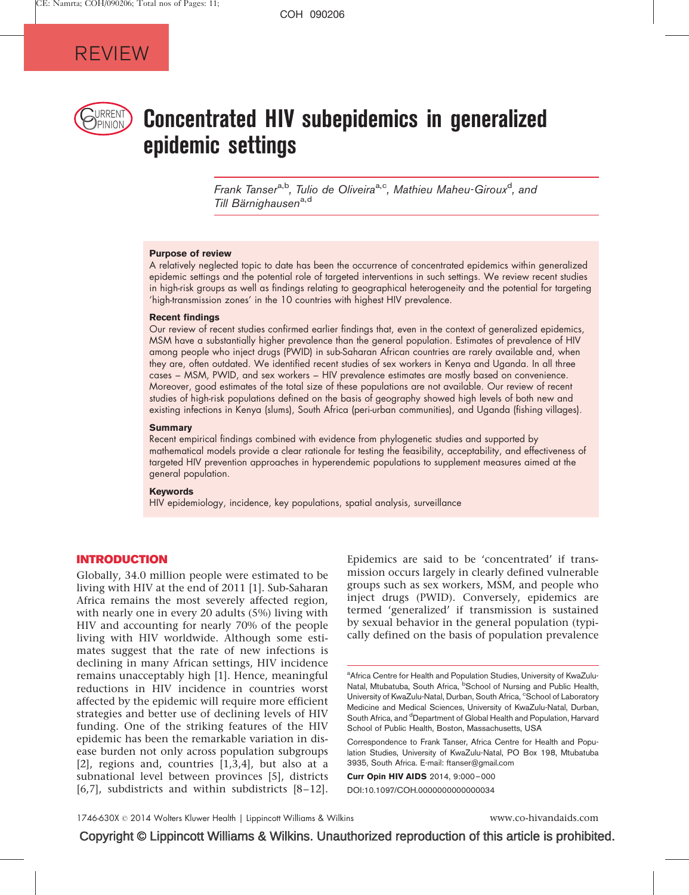

# $P$ RRENT $\bigcirc$  Concentrated HIV subepidemics in generalized epidemic settings

Frank Tanser<sup>a,b</sup>, Tulio de Oliveira<sup>a,c</sup>, Mathieu Maheu-Giroux<sup>d</sup>, and Till Bärnighausen<sup>a,d</sup>

#### Purpose of review

A relatively neglected topic to date has been the occurrence of concentrated epidemics within generalized epidemic settings and the potential role of targeted interventions in such settings. We review recent studies in high-risk groups as well as findings relating to geographical heterogeneity and the potential for targeting 'high-transmission zones' in the 10 countries with highest HIV prevalence.

#### Recent findings

Our review of recent studies confirmed earlier findings that, even in the context of generalized epidemics, MSM have a substantially higher prevalence than the general population. Estimates of prevalence of HIV among people who inject drugs (PWID) in sub-Saharan African countries are rarely available and, when they are, often outdated. We identified recent studies of sex workers in Kenya and Uganda. In all three cases – MSM, PWID, and sex workers – HIV prevalence estimates are mostly based on convenience. Moreover, good estimates of the total size of these populations are not available. Our review of recent studies of high-risk populations defined on the basis of geography showed high levels of both new and existing infections in Kenya (slums), South Africa (peri-urban communities), and Uganda (fishing villages).

#### **Summary**

Recent empirical findings combined with evidence from phylogenetic studies and supported by mathematical models provide a clear rationale for testing the feasibility, acceptability, and effectiveness of targeted HIV prevention approaches in hyperendemic populations to supplement measures aimed at the general population.

#### Keywords

HIV epidemiology, incidence, key populations, spatial analysis, surveillance

#### INTRODUCTION

Globally, 34.0 million people were estimated to be living with HIV at the end of 2011 [\[1\].](#page-8-0) Sub-Saharan Africa remains the most severely affected region, with nearly one in every 20 adults (5%) living with HIV and accounting for nearly 70% of the people living with HIV worldwide. Although some estimates suggest that the rate of new infections is declining in many African settings, HIV incidence remains unacceptably high [\[1\]](#page-8-0). Hence, meaningful reductions in HIV incidence in countries worst affected by the epidemic will require more efficient strategies and better use of declining levels of HIV funding. One of the striking features of the HIV epidemic has been the remarkable variation in disease burden not only across population subgroups [\[2\]](#page-8-0), regions and, countries [\[1,3,4\]](#page-8-0), but also at a subnational level between provinces [\[5\]](#page-8-0), districts [\[6,7\],](#page-8-0) subdistricts and within subdistricts [\[8–12\].](#page-8-0)

Epidemics are said to be 'concentrated' if transmission occurs largely in clearly defined vulnerable groups such as sex workers, MSM, and people who inject drugs (PWID). Conversely, epidemics are termed 'generalized' if transmission is sustained by sexual behavior in the general population (typically defined on the basis of population prevalence

Curr Opin HIV AIDS 2014, 9:000–000 DOI:10.1097/COH.0000000000000034

a<br>Africa Centre for Health and Population Studies, University of KwaZulu-Natal, Mtubatuba, South Africa, <sup>b</sup>School of Nursing and Public Health, University of KwaZulu-Natal, Durban, South Africa, <sup>c</sup>School of Laboratory Medicine and Medical Sciences, University of KwaZulu-Natal, Durban, South Africa, and <sup>d</sup>Department of Global Health and Population, Harvard School of Public Health, Boston, Massachusetts, USA

Correspondence to Frank Tanser, Africa Centre for Health and Population Studies, University of KwaZulu-Natal, PO Box 198, Mtubatuba 3935, South Africa. E-mail: ftanser@gmail.com

Copyright © Lippincott Williams & Wilkins. Unauthorized reproduction of this article is prohibited.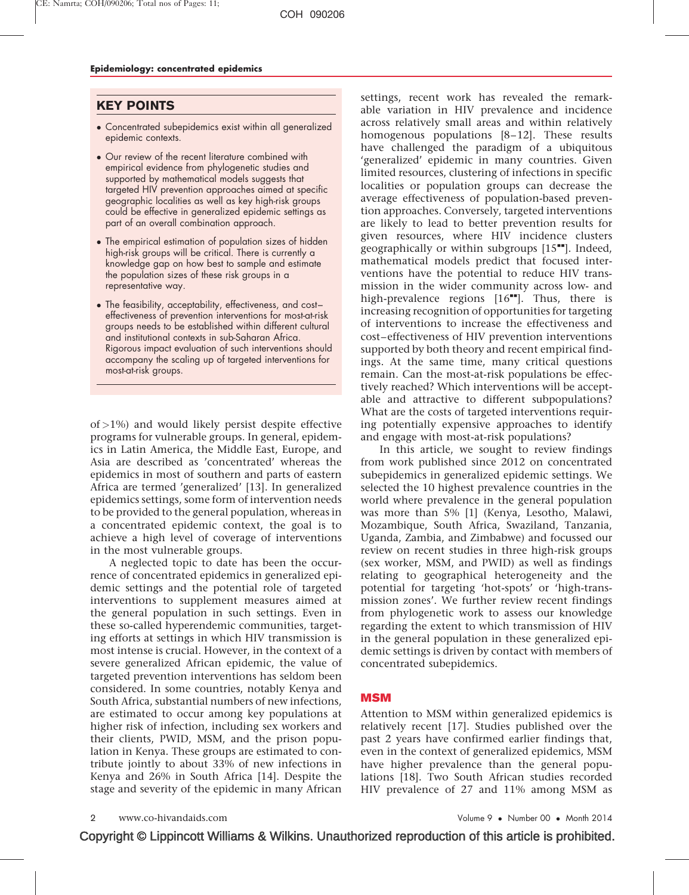# KEY POINTS

- Concentrated subepidemics exist within all generalized epidemic contexts.
- Our review of the recent literature combined with empirical evidence from phylogenetic studies and supported by mathematical models suggests that targeted HIV prevention approaches aimed at specific geographic localities as well as key high-risk groups could be effective in generalized epidemic settings as part of an overall combination approach.
- The empirical estimation of population sizes of hidden high-risk groups will be critical. There is currently a knowledge gap on how best to sample and estimate the population sizes of these risk groups in a representative way.
- The feasibility, acceptability, effectiveness, and cost– effectiveness of prevention interventions for most-at-risk groups needs to be established within different cultural and institutional contexts in sub-Saharan Africa. Rigorous impact evaluation of such interventions should accompany the scaling up of targeted interventions for most-at-risk groups.

 $of$   $>1\%$ ) and would likely persist despite effective programs for vulnerable groups. In general, epidemics in Latin America, the Middle East, Europe, and Asia are described as 'concentrated' whereas the epidemics in most of southern and parts of eastern Africa are termed 'generalized' [\[13\].](#page-8-0) In generalized epidemics settings, some form of intervention needs to be provided to the general population, whereas in a concentrated epidemic context, the goal is to achieve a high level of coverage of interventions in the most vulnerable groups.

A neglected topic to date has been the occurrence of concentrated epidemics in generalized epidemic settings and the potential role of targeted interventions to supplement measures aimed at the general population in such settings. Even in these so-called hyperendemic communities, targeting efforts at settings in which HIV transmission is most intense is crucial. However, in the context of a severe generalized African epidemic, the value of targeted prevention interventions has seldom been considered. In some countries, notably Kenya and South Africa, substantial numbers of new infections, are estimated to occur among key populations at higher risk of infection, including sex workers and their clients, PWID, MSM, and the prison population in Kenya. These groups are estimated to contribute jointly to about 33% of new infections in Kenya and 26% in South Africa [\[14\].](#page-8-0) Despite the stage and severity of the epidemic in many African

settings, recent work has revealed the remarkable variation in HIV prevalence and incidence across relatively small areas and within relatively homogenous populations [\[8–12\]](#page-8-0). These results have challenged the paradigm of a ubiquitous 'generalized' epidemic in many countries. Given limited resources, clustering of infections in specific localities or population groups can decrease the average effectiveness of population-based prevention approaches. Conversely, targeted interventions are likely to lead to better prevention results for given resources, where HIV incidence clusters geographically or within subgroups  $[15$ <sup> $\text{...}]$  $\text{...}]$ </sup>. Indeed, mathematical models predict that focused interventions have the potential to reduce HIV transmission in the wider community across low- and high-prevalence regions  $[16"$  $[16"$ [\].](#page-9-0) Thus, there is increasing recognition of opportunities for targeting of interventions to increase the effectiveness and cost–effectiveness of HIV prevention interventions supported by both theory and recent empirical findings. At the same time, many critical questions remain. Can the most-at-risk populations be effectively reached? Which interventions will be acceptable and attractive to different subpopulations? What are the costs of targeted interventions requiring potentially expensive approaches to identify and engage with most-at-risk populations?

In this article, we sought to review findings from work published since 2012 on concentrated subepidemics in generalized epidemic settings. We selected the 10 highest prevalence countries in the world where prevalence in the general population was more than 5% [\[1\]](#page-8-0) (Kenya, Lesotho, Malawi, Mozambique, South Africa, Swaziland, Tanzania, Uganda, Zambia, and Zimbabwe) and focussed our review on recent studies in three high-risk groups (sex worker, MSM, and PWID) as well as findings relating to geographical heterogeneity and the potential for targeting 'hot-spots' or 'high-transmission zones'. We further review recent findings from phylogenetic work to assess our knowledge regarding the extent to which transmission of HIV in the general population in these generalized epidemic settings is driven by contact with members of concentrated subepidemics.

#### MSM

Attention to MSM within generalized epidemics is relatively recent [\[17\]](#page-9-0). Studies published over the past 2 years have confirmed earlier findings that, even in the context of generalized epidemics, MSM have higher prevalence than the general populations [\[18\].](#page-9-0) Two South African studies recorded HIV prevalence of 27 and 11% among MSM as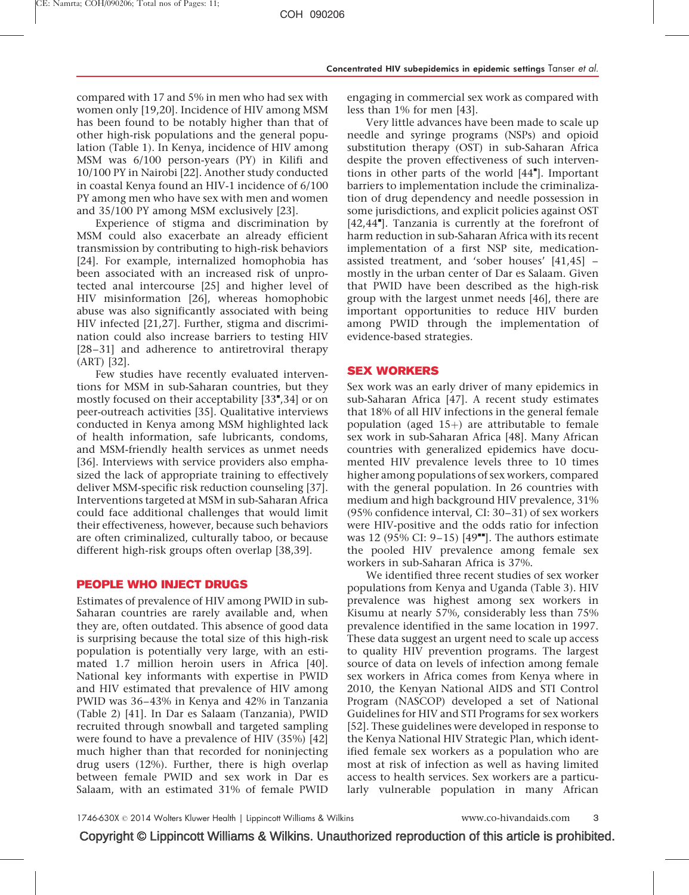compared with 17 and 5% in men who had sex with women only [\[19,20\]](#page-9-0). Incidence of HIV among MSM has been found to be notably higher than that of other high-risk populations and the general population (Table 1). In Kenya, incidence of HIV among MSM was 6/100 person-years (PY) in Kilifi and 10/100 PY in Nairobi [\[22\]](#page-9-0). Another study conducted in coastal Kenya found an HIV-1 incidence of 6/100 PY among men who have sex with men and women and 35/100 PY among MSM exclusively [\[23\].](#page-9-0)

Experience of stigma and discrimination by MSM could also exacerbate an already efficient transmission by contributing to high-risk behaviors [\[24\].](#page-9-0) For example, internalized homophobia has been associated with an increased risk of unprotected anal intercourse [\[25\]](#page-9-0) and higher level of HIV misinformation [\[26\]](#page-9-0), whereas homophobic abuse was also significantly associated with being HIV infected [\[21,27\].](#page-9-0) Further, stigma and discrimination could also increase barriers to testing HIV [\[28–31\]](#page-9-0) and adherence to antiretroviral therapy (ART) [\[32\].](#page-9-0)

Few studies have recently evaluated interventions for MSM in sub-Saharan countries, but they mostly focused on their acceptability [\[33](#page-9-0)"[,34\]](#page-9-0) or on peer-outreach activities [\[35\]](#page-9-0). Qualitative interviews conducted in Kenya among MSM highlighted lack of health information, safe lubricants, condoms, and MSM-friendly health services as unmet needs [\[36\].](#page-9-0) Interviews with service providers also emphasized the lack of appropriate training to effectively deliver MSM-specific risk reduction counseling [\[37\]](#page-9-0). Interventions targeted at MSM in sub-Saharan Africa could face additional challenges that would limit their effectiveness, however, because such behaviors are often criminalized, culturally taboo, or because different high-risk groups often overlap [\[38,39\]](#page-9-0).

#### PEOPLE WHO INJECT DRUGS

Estimates of prevalence of HIV among PWID in sub-Saharan countries are rarely available and, when they are, often outdated. This absence of good data is surprising because the total size of this high-risk population is potentially very large, with an estimated 1.7 million heroin users in Africa [\[40\]](#page-9-0). National key informants with expertise in PWID and HIV estimated that prevalence of HIV among PWID was 36–43% in Kenya and 42% in Tanzania (Table 2) [\[41\].](#page-9-0) In Dar es Salaam (Tanzania), PWID recruited through snowball and targeted sampling were found to have a prevalence of HIV (35%) [\[42\]](#page-9-0) much higher than that recorded for noninjecting drug users (12%). Further, there is high overlap between female PWID and sex work in Dar es Salaam, with an estimated 31% of female PWID engaging in commercial sex work as compared with less than 1% for men [\[43\].](#page-9-0)

Very little advances have been made to scale up needle and syringe programs (NSPs) and opioid substitution therapy (OST) in sub-Saharan Africa despite the proven effectiveness of such interven-tions in other parts of the world [\[44](#page-9-0)"[\].](#page-9-0) Important barriers to implementation include the criminalization of drug dependency and needle possession in some jurisdictions, and explicit policies against OST [\[42,44](#page-9-0)"[\].](#page-9-0) Tanzania is currently at the forefront of harm reduction in sub-Saharan Africa with its recent implementation of a first NSP site, medicationassisted treatment, and 'sober houses' [\[41,45\]](#page-9-0) – mostly in the urban center of Dar es Salaam. Given that PWID have been described as the high-risk group with the largest unmet needs [\[46\],](#page-9-0) there are important opportunities to reduce HIV burden among PWID through the implementation of evidence-based strategies.

#### SEX WORKERS

Sex work was an early driver of many epidemics in sub-Saharan Africa [\[47\].](#page-9-0) A recent study estimates that 18% of all HIV infections in the general female population (aged  $15+$ ) are attributable to female sex work in sub-Saharan Africa [\[48\]](#page-9-0). Many African countries with generalized epidemics have documented HIV prevalence levels three to 10 times higher among populations of sex workers, compared with the general population. In 26 countries with medium and high background HIV prevalence, 31% (95% confidence interval, CI: 30–31) of sex workers were HIV-positive and the odds ratio for infection was 12 (95% CI: 9–15) [\[49](#page-9-0)<sup> $\text{I}$ </sup>[\].](#page-9-0) The authors estimate the pooled HIV prevalence among female sex workers in sub-Saharan Africa is 37%.

We identified three recent studies of sex worker populations from Kenya and Uganda (Table 3). HIV prevalence was highest among sex workers in Kisumu at nearly 57%, considerably less than 75% prevalence identified in the same location in 1997. These data suggest an urgent need to scale up access to quality HIV prevention programs. The largest source of data on levels of infection among female sex workers in Africa comes from Kenya where in 2010, the Kenyan National AIDS and STI Control Program (NASCOP) developed a set of National Guidelines for HIV and STI Programs for sex workers [\[52\].](#page-9-0) These guidelines were developed in response to the Kenya National HIV Strategic Plan, which identified female sex workers as a population who are most at risk of infection as well as having limited access to health services. Sex workers are a particularly vulnerable population in many African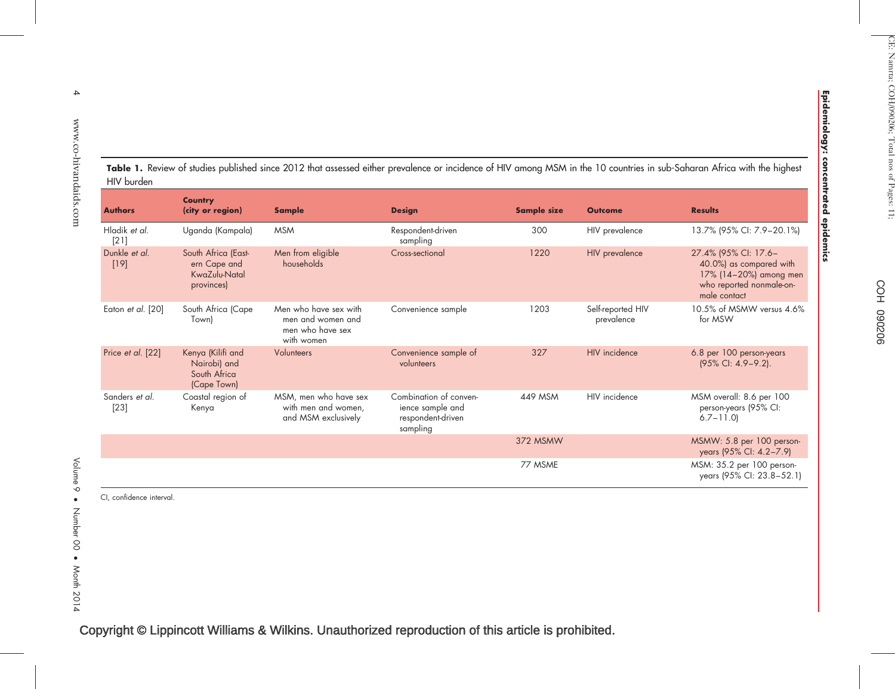| <b>Authors</b>           | <b>Country</b><br>(city or region)                                 | <b>Sample</b>                                                                | <b>Design</b>                                                               | <b>Sample size</b> | <b>Outcome</b>                  | <b>Results</b>                                                                                                        |
|--------------------------|--------------------------------------------------------------------|------------------------------------------------------------------------------|-----------------------------------------------------------------------------|--------------------|---------------------------------|-----------------------------------------------------------------------------------------------------------------------|
| Hladik et al.<br>$[21]$  | Uganda (Kampala)                                                   | <b>MSM</b>                                                                   | Respondent-driven<br>sampling                                               | 300                | HIV prevalence                  | 13.7% (95% CI: 7.9-20.1%)                                                                                             |
| Dunkle et al.<br>$[19]$  | South Africa (East-<br>ern Cape and<br>KwaZulu-Natal<br>provinces) | Men from eligible<br>households                                              | Cross-sectional                                                             | 1220               | <b>HIV</b> prevalence           | 27.4% (95% CI: 17.6-<br>40.0%) as compared with<br>17% (14-20%) among men<br>who reported nonmale-on-<br>male contact |
| Eaton <i>et al.</i> [20] | South Africa (Cape<br>Town)                                        | Men who have sex with<br>men and women and<br>men who have sex<br>with women | Convenience sample                                                          | 1203               | Self-reported HIV<br>prevalence | 10.5% of MSMW versus 4.6%<br>for MSW                                                                                  |
| Price et al. [22]        | Kenya (Kilifi and<br>Nairobi) and<br>South Africa<br>(Cape Town)   | <b>Volunteers</b>                                                            | Convenience sample of<br>volunteers                                         | 327                | <b>HIV</b> incidence            | 6.8 per 100 person-years<br>$(95\%$ CI: 4.9-9.2).                                                                     |
| Sanders et al.<br>$[23]$ | Coastal region of<br>Kenya                                         | MSM, men who have sex<br>with men and women,<br>and MSM exclusively          | Combination of conven-<br>ience sample and<br>respondent-driven<br>sampling | 449 MSM            | HIV incidence                   | MSM overall: 8.6 per 100<br>person-years (95% CI:<br>$6.7 - 11.0$                                                     |
|                          |                                                                    |                                                                              |                                                                             | 372 MSMW           |                                 | MSMW: 5.8 per 100 person-<br>years (95% CI: 4.2-7.9)                                                                  |
|                          |                                                                    |                                                                              |                                                                             | 77 MSME            |                                 | MSM: 35.2 per 100 person-<br>years (95% CI: 23.8-52.1)                                                                |

**Table 1.** Review of studies published since 2012 that assessed either prevalence or incidence of HIV among MSM in the 10 countries in sub-Saharan Africa with the highest HIV burden

CI, confidence interval.

4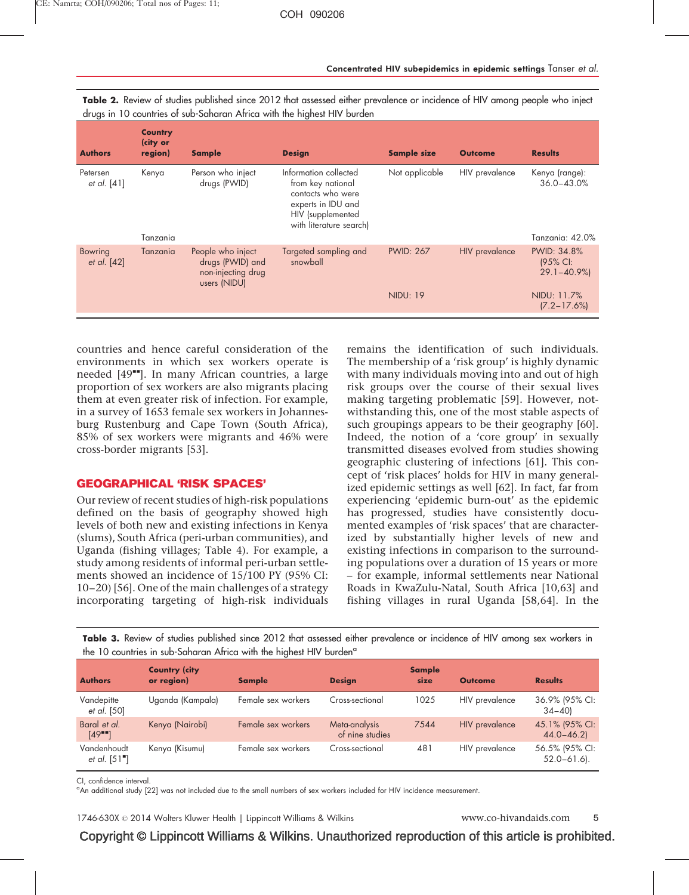| <b>Authors</b>                | <b>Country</b><br>(city or<br>region) | <b>Sample</b>                                                               | <b>Design</b>                                                                                                                         | <b>Sample size</b> | <b>Outcome</b>        | <b>Results</b>                            |
|-------------------------------|---------------------------------------|-----------------------------------------------------------------------------|---------------------------------------------------------------------------------------------------------------------------------------|--------------------|-----------------------|-------------------------------------------|
| Petersen<br>et al. [41]       | Kenya                                 | Person who inject<br>drugs (PWID)                                           | Information collected<br>from key national<br>contacts who were<br>experts in IDU and<br>HIV (supplemented<br>with literature search) | Not applicable     | HIV prevalence        | Kenya (range):<br>$36.0 - 43.0%$          |
|                               | Tanzania                              |                                                                             |                                                                                                                                       |                    |                       | Tanzania: 42.0%                           |
| <b>Bowring</b><br>et al. [42] | Tanzania                              | People who inject<br>drugs (PWID) and<br>non-injecting drug<br>users (NIDU) | Targeted sampling and<br>snowball                                                                                                     | <b>PWID: 267</b>   | <b>HIV</b> prevalence | PWID: 34.8%<br>(95% CI:<br>$29.1 - 40.9%$ |
|                               |                                       |                                                                             |                                                                                                                                       | <b>NIDU: 19</b>    |                       | NIDU: 11.7%<br>$[7.2 - 17.6\%]$           |

Table 2. Review of studies published since 2012 that assessed either prevalence or incidence of HIV among people who inject drugs in 10 countries of sub-Saharan Africa with the highest HIV burden

countries and hence careful consideration of the environments in which sex workers operate is needed [\[49](#page-9-0)""[\].](#page-9-0) In many African countries, a large proportion of sex workers are also migrants placing them at even greater risk of infection. For example, in a survey of 1653 female sex workers in Johannesburg Rustenburg and Cape Town (South Africa), 85% of sex workers were migrants and 46% were cross-border migrants [\[53\]](#page-9-0).

#### GEOGRAPHICAL 'RISK SPACES'

Our review of recent studies of high-risk populations defined on the basis of geography showed high levels of both new and existing infections in Kenya (slums), South Africa (peri-urban communities), and Uganda (fishing villages; Table 4). For example, a study among residents of informal peri-urban settlements showed an incidence of 15/100 PY (95% CI: 10–20) [\[56\].](#page-9-0) One of the main challenges of a strategy incorporating targeting of high-risk individuals

remains the identification of such individuals. The membership of a 'risk group' is highly dynamic with many individuals moving into and out of high risk groups over the course of their sexual lives making targeting problematic [\[59\].](#page-9-0) However, notwithstanding this, one of the most stable aspects of such groupings appears to be their geography [\[60\]](#page-9-0). Indeed, the notion of a 'core group' in sexually transmitted diseases evolved from studies showing geographic clustering of infections [\[61\]](#page-9-0). This concept of 'risk places' holds for HIV in many generalized epidemic settings as well [\[62\].](#page-9-0) In fact, far from experiencing 'epidemic burn-out' as the epidemic has progressed, studies have consistently documented examples of 'risk spaces' that are characterized by substantially higher levels of new and existing infections in comparison to the surrounding populations over a duration of 15 years or more – for example, informal settlements near National Roads in KwaZulu-Natal, South Africa [\[10,63\]](#page-8-0) and fishing villages in rural Uganda [\[58,64\]](#page-9-0). In the

Table 3. Review of studies published since 2012 that assessed either prevalence or incidence of HIV among sex workers in the 10 countries in sub-Saharan Africa with the highest HIV burden<sup>a</sup>

| <b>Authors</b>                | <b>Country (city</b><br>or region) | Sample             | <b>Design</b>                    | <b>Sample</b><br>size | <b>Outcome</b>        | <b>Results</b>                    |
|-------------------------------|------------------------------------|--------------------|----------------------------------|-----------------------|-----------------------|-----------------------------------|
| Vandepitte<br>et al. [50]     | Uganda (Kampala)                   | Female sex workers | Cross-sectional                  | 1025                  | HIV prevalence        | 36.9% (95% CI:<br>$34 - 40$       |
| Baral et al.<br>$[49$ $]$     | Kenya (Nairobi)                    | Female sex workers | Meta-analysis<br>of nine studies | 7544                  | <b>HIV</b> prevalence | 45.1% (95% CI:<br>$44.0 - 46.2$   |
| Vandenhoudt<br>et al. $[51$ ] | Kenya (Kisumu)                     | Female sex workers | Cross-sectional                  | 481                   | HIV prevalence        | 56.5% (95% CI:<br>$52.0 - 61.6$ . |

CI, confidence interval.

<sup>a</sup>An additional study [\[22\]](#page-9-0) was not included due to the small numbers of sex workers included for HIV incidence measurement.

1746-630X © 2014 Wolters Kluwer Health | Lippincott Williams & Wilkins www.co-hivandaids.com 5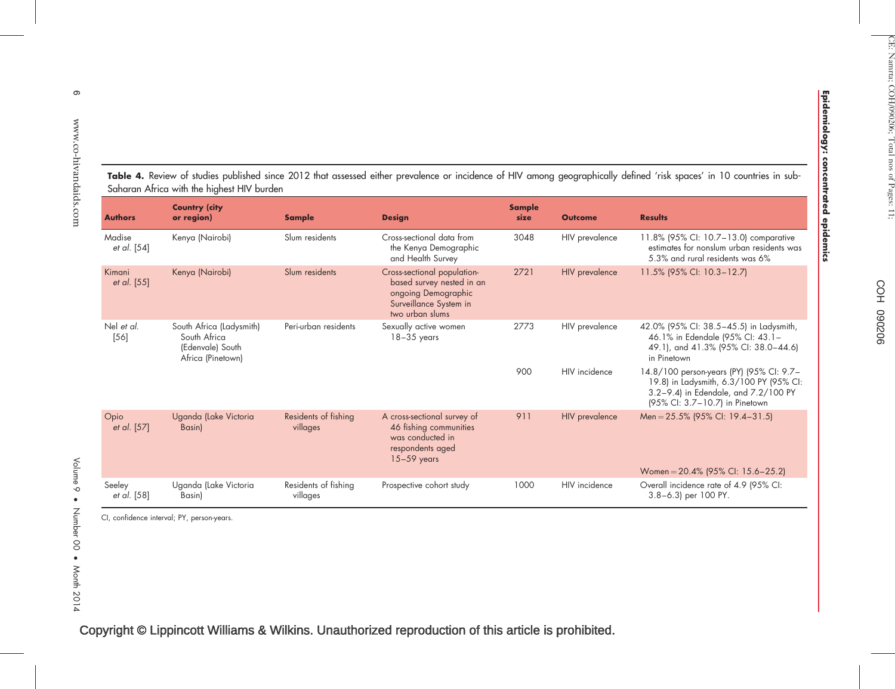6

**Table 4.** Review of studies published since 2012 that assessed either prevalence or incidence of HIV among geographically defined 'risk spaces' in 10 countries in sub-Saharan Africa with the highest HIV burden

| <b>Authors</b>        | <b>Country (city</b><br>or region)                                                | <b>Sample</b>                    | <b>Design</b>                                                                                                                | <b>Sample</b><br>size | <b>Outcome</b> | <b>Results</b>                                                                                                                                                |
|-----------------------|-----------------------------------------------------------------------------------|----------------------------------|------------------------------------------------------------------------------------------------------------------------------|-----------------------|----------------|---------------------------------------------------------------------------------------------------------------------------------------------------------------|
| Madise<br>et al. [54] | Kenya (Nairobi)                                                                   | Slum residents                   | Cross-sectional data from<br>the Kenya Demographic<br>and Health Survey                                                      | 3048                  | HIV prevalence | 11.8% (95% CI: 10.7-13.0) comparative<br>estimates for nonslum urban residents was<br>5.3% and rural residents was 6%                                         |
| Kimani<br>et al. [55] | Kenya (Nairobi)                                                                   | Slum residents                   | Cross-sectional population-<br>based survey nested in an<br>ongoing Demographic<br>Surveillance System in<br>two urban slums | 2721                  | HIV prevalence | 11.5% (95% CI: 10.3-12.7)                                                                                                                                     |
| Nel et al.<br>$[56]$  | South Africa (Ladysmith)<br>South Africa<br>(Edenvale) South<br>Africa (Pinetown) | Peri-urban residents             | Sexually active women<br>$18-35$ years                                                                                       | 2773                  | HIV prevalence | 42.0% (95% CI: 38.5-45.5) in Ladysmith,<br>46.1% in Edendale (95% CI: 43.1-<br>49.1), and 41.3% (95% CI: 38.0–44.6)<br>in Pinetown                            |
|                       |                                                                                   |                                  |                                                                                                                              | 900                   | HIV incidence  | 14.8/100 person-years (PY) (95% CI: 9.7-<br>19.8) in Ladysmith, 6.3/100 PY (95% CI:<br>3.2-9.4) in Edendale, and 7.2/100 PY<br>(95% Cl: 3.7-10.7) in Pinetown |
| Opio<br>et al. [57]   | Uganda (Lake Victoria<br>Basin)                                                   | Residents of fishing<br>villages | A cross-sectional survey of<br>46 fishing communities<br>was conducted in<br>respondents aged<br>$15-59$ years               | 911                   | HIV prevalence | Men = 25.5% (95% CI: 19.4-31.5)                                                                                                                               |
|                       |                                                                                   |                                  |                                                                                                                              |                       |                | Women = $20.4\%$ (95% CI: 15.6–25.2)                                                                                                                          |
| Seeley<br>et al. [58] | Uganda (Lake Victoria<br>Basin)                                                   | Residents of fishing<br>villages | Prospective cohort study                                                                                                     | 1000                  | HIV incidence  | Overall incidence rate of 4.9 (95% CI:<br>$3.8 - 6.3$ per 100 PY.                                                                                             |

CI, confidence interval; PY, person-years.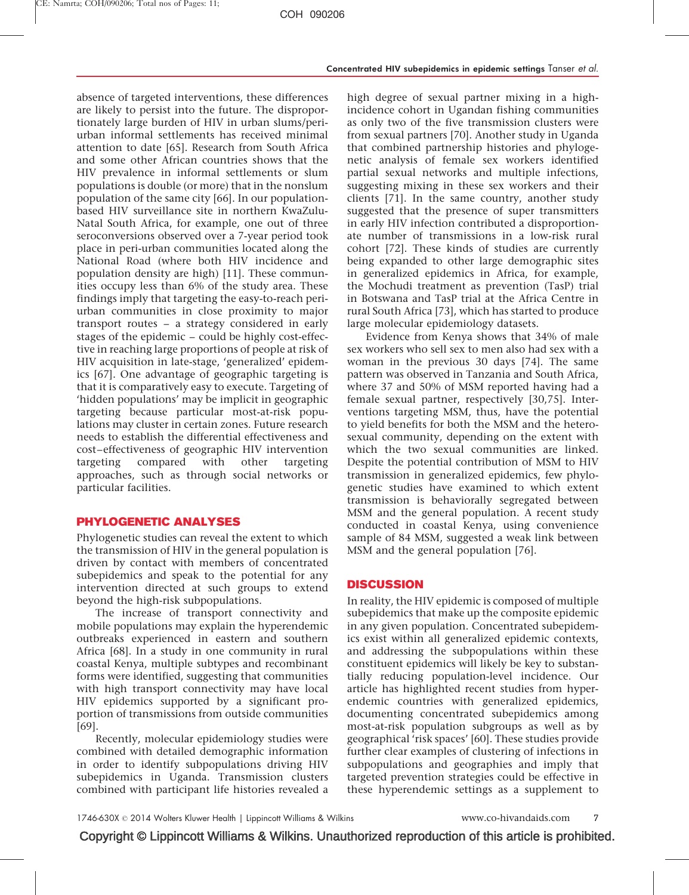absence of targeted interventions, these differences are likely to persist into the future. The disproportionately large burden of HIV in urban slums/periurban informal settlements has received minimal attention to date [\[65\].](#page-10-0) Research from South Africa and some other African countries shows that the HIV prevalence in informal settlements or slum populations is double (or more) that in the nonslum population of the same city [\[66\].](#page-10-0) In our populationbased HIV surveillance site in northern KwaZulu-Natal South Africa, for example, one out of three seroconversions observed over a 7-year period took place in peri-urban communities located along the National Road (where both HIV incidence and population density are high) [\[11\].](#page-8-0) These communities occupy less than 6% of the study area. These findings imply that targeting the easy-to-reach periurban communities in close proximity to major transport routes – a strategy considered in early stages of the epidemic – could be highly cost-effective in reaching large proportions of people at risk of HIV acquisition in late-stage, 'generalized' epidemics [\[67\]](#page-10-0). One advantage of geographic targeting is that it is comparatively easy to execute. Targeting of 'hidden populations' may be implicit in geographic targeting because particular most-at-risk populations may cluster in certain zones. Future research needs to establish the differential effectiveness and cost–effectiveness of geographic HIV intervention targeting compared with other targeting approaches, such as through social networks or particular facilities.

## PHYLOGENETIC ANALYSES

Phylogenetic studies can reveal the extent to which the transmission of HIV in the general population is driven by contact with members of concentrated subepidemics and speak to the potential for any intervention directed at such groups to extend beyond the high-risk subpopulations.

The increase of transport connectivity and mobile populations may explain the hyperendemic outbreaks experienced in eastern and southern Africa [\[68\]](#page-10-0). In a study in one community in rural coastal Kenya, multiple subtypes and recombinant forms were identified, suggesting that communities with high transport connectivity may have local HIV epidemics supported by a significant proportion of transmissions from outside communities [\[69\].](#page-10-0)

Recently, molecular epidemiology studies were combined with detailed demographic information in order to identify subpopulations driving HIV subepidemics in Uganda. Transmission clusters combined with participant life histories revealed a

high degree of sexual partner mixing in a highincidence cohort in Ugandan fishing communities as only two of the five transmission clusters were from sexual partners [\[70\].](#page-10-0) Another study in Uganda that combined partnership histories and phylogenetic analysis of female sex workers identified partial sexual networks and multiple infections, suggesting mixing in these sex workers and their clients [\[71\].](#page-10-0) In the same country, another study suggested that the presence of super transmitters in early HIV infection contributed a disproportionate number of transmissions in a low-risk rural cohort [\[72\]](#page-10-0). These kinds of studies are currently being expanded to other large demographic sites in generalized epidemics in Africa, for example, the Mochudi treatment as prevention (TasP) trial in Botswana and TasP trial at the Africa Centre in rural South Africa [\[73\]](#page-10-0), which has started to produce large molecular epidemiology datasets.

Evidence from Kenya shows that 34% of male sex workers who sell sex to men also had sex with a woman in the previous 30 days [\[74\].](#page-10-0) The same pattern was observed in Tanzania and South Africa, where 37 and 50% of MSM reported having had a female sexual partner, respectively [\[30,75\].](#page-9-0) Interventions targeting MSM, thus, have the potential to yield benefits for both the MSM and the heterosexual community, depending on the extent with which the two sexual communities are linked. Despite the potential contribution of MSM to HIV transmission in generalized epidemics, few phylogenetic studies have examined to which extent transmission is behaviorally segregated between MSM and the general population. A recent study conducted in coastal Kenya, using convenience sample of 84 MSM, suggested a weak link between MSM and the general population [\[76\]](#page-10-0).

#### DISCUSSION

In reality, the HIV epidemic is composed of multiple subepidemics that make up the composite epidemic in any given population. Concentrated subepidemics exist within all generalized epidemic contexts, and addressing the subpopulations within these constituent epidemics will likely be key to substantially reducing population-level incidence. Our article has highlighted recent studies from hyperendemic countries with generalized epidemics, documenting concentrated subepidemics among most-at-risk population subgroups as well as by geographical 'risk spaces' [\[60\]](#page-9-0). These studies provide further clear examples of clustering of infections in subpopulations and geographies and imply that targeted prevention strategies could be effective in these hyperendemic settings as a supplement to

1746-630X © 2014 Wolters Kluwer Health | Lippincott Williams & Wilkins www.co-hivandaids.com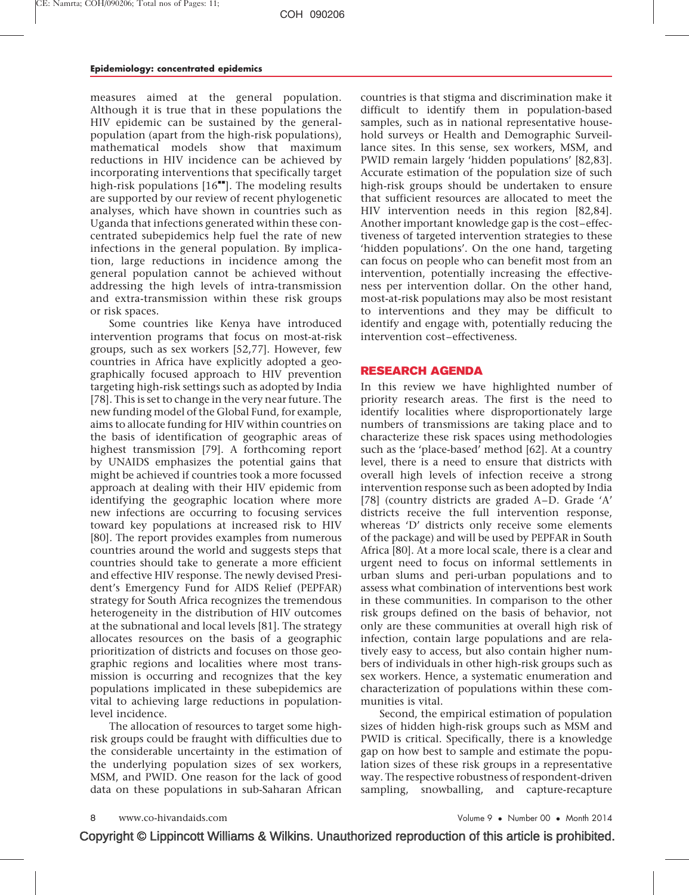measures aimed at the general population. Although it is true that in these populations the HIV epidemic can be sustained by the generalpopulation (apart from the high-risk populations), mathematical models show that maximum reductions in HIV incidence can be achieved by incorporating interventions that specifically target high-risk populations  $[16$ <sup> $\bullet$  $\bullet$ </sup>[\].](#page-9-0) The modeling results are supported by our review of recent phylogenetic analyses, which have shown in countries such as Uganda that infections generated within these concentrated subepidemics help fuel the rate of new infections in the general population. By implication, large reductions in incidence among the general population cannot be achieved without addressing the high levels of intra-transmission and extra-transmission within these risk groups or risk spaces.

Some countries like Kenya have introduced intervention programs that focus on most-at-risk groups, such as sex workers [\[52,77\].](#page-9-0) However, few countries in Africa have explicitly adopted a geographically focused approach to HIV prevention targeting high-risk settings such as adopted by India [\[78\].](#page-10-0) This is set to change in the very near future. The new funding model of the Global Fund, for example, aims to allocate funding for HIV within countries on the basis of identification of geographic areas of highest transmission [\[79\].](#page-10-0) A forthcoming report by UNAIDS emphasizes the potential gains that might be achieved if countries took a more focussed approach at dealing with their HIV epidemic from identifying the geographic location where more new infections are occurring to focusing services toward key populations at increased risk to HIV [\[80\].](#page-10-0) The report provides examples from numerous countries around the world and suggests steps that countries should take to generate a more efficient and effective HIV response. The newly devised President's Emergency Fund for AIDS Relief (PEPFAR) strategy for South Africa recognizes the tremendous heterogeneity in the distribution of HIV outcomes at the subnational and local levels [\[81\]](#page-10-0). The strategy allocates resources on the basis of a geographic prioritization of districts and focuses on those geographic regions and localities where most transmission is occurring and recognizes that the key populations implicated in these subepidemics are vital to achieving large reductions in populationlevel incidence.

The allocation of resources to target some highrisk groups could be fraught with difficulties due to the considerable uncertainty in the estimation of the underlying population sizes of sex workers, MSM, and PWID. One reason for the lack of good data on these populations in sub-Saharan African

countries is that stigma and discrimination make it difficult to identify them in population-based samples, such as in national representative household surveys or Health and Demographic Surveillance sites. In this sense, sex workers, MSM, and PWID remain largely 'hidden populations' [\[82,83\].](#page-10-0) Accurate estimation of the population size of such high-risk groups should be undertaken to ensure that sufficient resources are allocated to meet the HIV intervention needs in this region [\[82,84\].](#page-10-0) Another important knowledge gap is the cost–effectiveness of targeted intervention strategies to these 'hidden populations'. On the one hand, targeting can focus on people who can benefit most from an intervention, potentially increasing the effectiveness per intervention dollar. On the other hand, most-at-risk populations may also be most resistant to interventions and they may be difficult to identify and engage with, potentially reducing the intervention cost–effectiveness.

## RESEARCH AGENDA

In this review we have highlighted number of priority research areas. The first is the need to identify localities where disproportionately large numbers of transmissions are taking place and to characterize these risk spaces using methodologies such as the 'place-based' method [\[62\].](#page-9-0) At a country level, there is a need to ensure that districts with overall high levels of infection receive a strong intervention response such as been adopted by India [\[78\]](#page-10-0) (country districts are graded A–D. Grade 'A' districts receive the full intervention response, whereas 'D' districts only receive some elements of the package) and will be used by PEPFAR in South Africa [\[80\].](#page-10-0) At a more local scale, there is a clear and urgent need to focus on informal settlements in urban slums and peri-urban populations and to assess what combination of interventions best work in these communities. In comparison to the other risk groups defined on the basis of behavior, not only are these communities at overall high risk of infection, contain large populations and are relatively easy to access, but also contain higher numbers of individuals in other high-risk groups such as sex workers. Hence, a systematic enumeration and characterization of populations within these communities is vital.

Second, the empirical estimation of population sizes of hidden high-risk groups such as MSM and PWID is critical. Specifically, there is a knowledge gap on how best to sample and estimate the population sizes of these risk groups in a representative way. The respective robustness of respondent-driven sampling, snowballing, and capture-recapture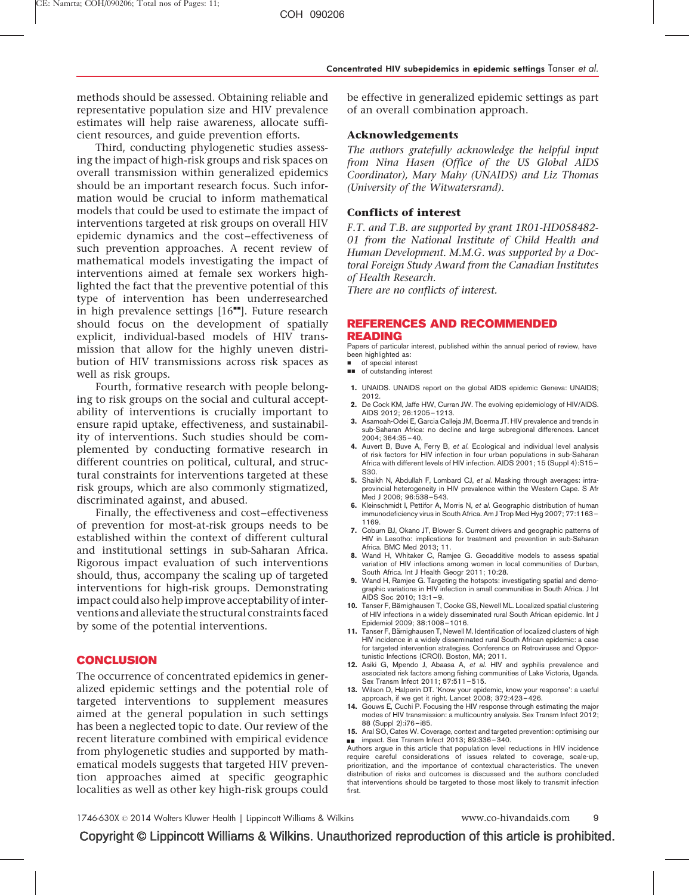<span id="page-8-0"></span>methods should be assessed. Obtaining reliable and representative population size and HIV prevalence estimates will help raise awareness, allocate sufficient resources, and guide prevention efforts.

Third, conducting phylogenetic studies assessing the impact of high-risk groups and risk spaces on overall transmission within generalized epidemics should be an important research focus. Such information would be crucial to inform mathematical models that could be used to estimate the impact of interventions targeted at risk groups on overall HIV epidemic dynamics and the cost–effectiveness of such prevention approaches. A recent review of mathematical models investigating the impact of interventions aimed at female sex workers highlighted the fact that the preventive potential of this type of intervention has been underresearched in high prevalence settings  $[16$ <sup> $\bullet$  $\bullet$ </sup>[\]](#page-9-0). Future research should focus on the development of spatially explicit, individual-based models of HIV transmission that allow for the highly uneven distribution of HIV transmissions across risk spaces as well as risk groups.

Fourth, formative research with people belonging to risk groups on the social and cultural acceptability of interventions is crucially important to ensure rapid uptake, effectiveness, and sustainability of interventions. Such studies should be complemented by conducting formative research in different countries on political, cultural, and structural constraints for interventions targeted at these risk groups, which are also commonly stigmatized, discriminated against, and abused.

Finally, the effectiveness and cost–effectiveness of prevention for most-at-risk groups needs to be established within the context of different cultural and institutional settings in sub-Saharan Africa. Rigorous impact evaluation of such interventions should, thus, accompany the scaling up of targeted interventions for high-risk groups. Demonstrating impact could also help improve acceptability of interventions and alleviate the structural constraints faced by some of the potential interventions.

## **CONCLUSION**

The occurrence of concentrated epidemics in generalized epidemic settings and the potential role of targeted interventions to supplement measures aimed at the general population in such settings has been a neglected topic to date. Our review of the recent literature combined with empirical evidence from phylogenetic studies and supported by mathematical models suggests that targeted HIV prevention approaches aimed at specific geographic localities as well as other key high-risk groups could be effective in generalized epidemic settings as part of an overall combination approach.

#### Acknowledgements

The authors gratefully acknowledge the helpful input from Nina Hasen (Office of the US Global AIDS Coordinator), Mary Mahy (UNAIDS) and Liz Thomas (University of the Witwatersrand).

#### Conflicts of interest

F.T. and T.B. are supported by grant 1R01-HD058482- 01 from the National Institute of Child Health and Human Development. M.M.G. was supported by a Doctoral Foreign Study Award from the Canadian Institutes of Health Research.

There are no conflicts of interest.

#### REFERENCES AND RECOMMENDED READING

Papers of particular interest, published within the annual period of review, have been highlighted as:

- of special interest  $\Box$  of outstanding interest
- 
- 1. UNAIDS. UNAIDS report on the global AIDS epidemic Geneva: UNAIDS; 2012.
- 2. De Cock KM, Jaffe HW, Curran JW. The evolving epidemiology of HIV/AIDS. AIDS 2012; 26:1205–1213.
- 3. Asamoah-Odei E, Garcia Calleja JM, Boerma JT. HIV prevalence and trends in sub-Saharan Africa: no decline and large subregional differences. Lancet 2004; 364:35–40.
- 4. Auvert B, Buve A, Ferry B, et al. Ecological and individual level analysis of risk factors for HIV infection in four urban populations in sub-Saharan Africa with different levels of HIV infection. AIDS 2001; 15 (Suppl 4):S15– S30.
- 5. Shaikh N, Abdullah F, Lombard CJ, et al. Masking through averages: intraprovincial heterogeneity in HIV prevalence within the Western Cape. S Afr Med J 2006; 96:538–543.
- 6. Kleinschmidt I, Pettifor A, Morris N, et al. Geographic distribution of human immunodeficiency virus in South Africa. Am J Trop Med Hyg 2007; 77:1163– 1169.
- 7. Coburn BJ, Okano JT, Blower S. Current drivers and geographic patterns of HIV in Lesotho: implications for treatment and prevention in sub-Saharan Africa. BMC Med 2013; 11.
- 8. Wand H, Whitaker C, Ramjee G. Geoadditive models to assess spatial variation of HIV infections among women in local communities of Durban, South Africa. Int J Health Geogr 2011; 10:28.
- 9. Wand H, Ramjee G. Targeting the hotspots: investigating spatial and demographic variations in HIV infection in small communities in South Africa. J Int AIDS Soc 2010; 13:1–9.
- 10. Tanser F, Bärnighausen T, Cooke GS, Newell ML. Localized spatial clustering of HIV infections in a widely disseminated rural South African epidemic. Int J Epidemiol 2009; 38:1008–1016.
- 11. Tanser F, Bärnighausen T, Newell M. Identification of localized clusters of high HIV incidence in a widely disseminated rural South African epidemic: a case for targeted intervention strategies. Conference on Retroviruses and Opportunistic Infections (CROI). Boston, MA; 2011.
- 12. Asiki G, Mpendo J, Abaasa A, et al. HIV and syphilis prevalence and associated risk factors among fishing communities of Lake Victoria, Uganda. Sex Transm Infect 2011; 87:511–515.
- 13. Wilson D, Halperin DT. 'Know your epidemic, know your response': a useful approach, if we get it right. Lancet 2008; 372:423–426.
- 14. Gouws E, Cuchi P. Focusing the HIV response through estimating the major modes of HIV transmission: a multicountry analysis. Sex Transm Infect 2012; 88 (Suppl 2):i76–i85.
- 15. Aral SO, Cates W. Coverage, context and targeted prevention: optimising our mm impact. Sex Transm Infect 2013; 89:336-340.

Authors argue in this article that population level reductions in HIV incidence require careful considerations of issues related to coverage, scale-up, prioritization, and the importance of contextual characteristics. The uneven distribution of risks and outcomes is discussed and the authors concluded that interventions should be targeted to those most likely to transmit infection first.

1746-630X © 2014 Wolters Kluwer Health | Lippincott Williams & Wilkins www.co-hivandaids.com 9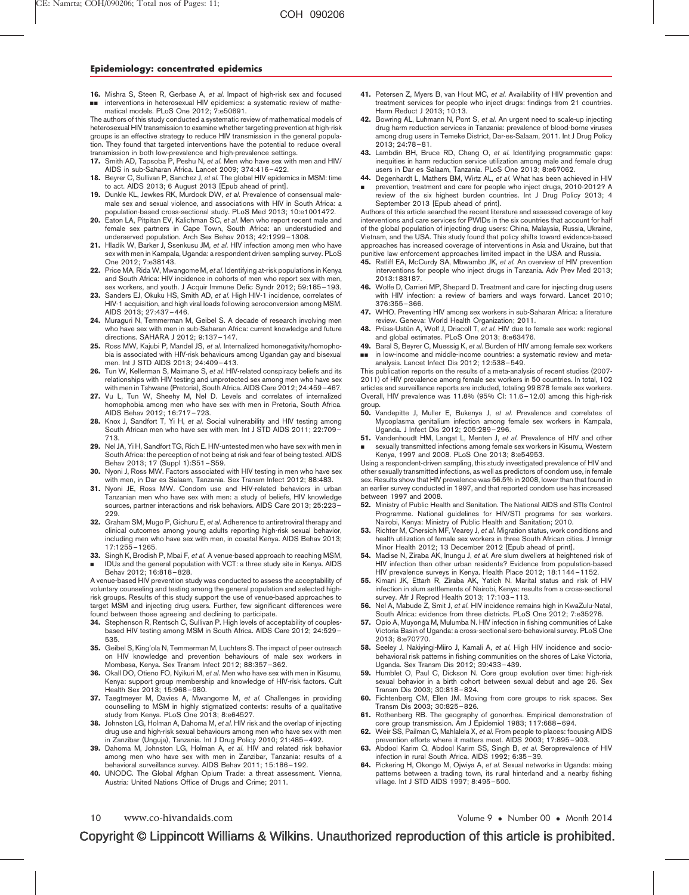<span id="page-9-0"></span>16. Mishra S, Steen R, Gerbase A, et al. Impact of high-risk sex and focused && interventions in heterosexual HIV epidemics: a systematic review of mathematical models. PLoS One 2012; 7:e50691.

The authors of this study conducted a systematic review of mathematical models of heterosexual HIV transmission to examine whether targeting prevention at high-risk groups is an effective strategy to reduce HIV transmission in the general population. They found that targeted interventions have the potential to reduce overall transmission in both low-prevalence and high-prevalence settings.

- 17. Smith AD, Tapsoba P, Peshu N, et al. Men who have sex with men and HIV/ AIDS in sub-Saharan Africa. Lancet 2009; 374:416–422.
- 18. Beyrer C, Sullivan P, Sanchez J, et al. The global HIV epidemics in MSM: time to act. AIDS 2013; 6 August 2013 [Epub ahead of print].
- 19. Dunkle KL, Jewkes RK, Murdock DW, et al. Prevalence of consensual malemale sex and sexual violence, and associations with HIV in South Africa: a population-based cross-sectional study. PLoS Med 2013; 10:e1001472.
- 20. Eaton LA, Pitpitan EV, Kalichman SC, et al. Men who report recent male and female sex partners in Cape Town, South Africa: an understudied and underserved population. Arch Sex Behav 2013; 42:1299–1308.
- 21. Hladik W, Barker J, Ssenkusu JM, et al. HIV infection among men who have sex with men in Kampala, Uganda: a respondent driven sampling survey. PLoS One 2012; 7:e38143.
- 22. Price MA, Rida W, Mwangome M, et al. Identifying at-risk populations in Kenya and South Africa: HIV incidence in cohorts of men who report sex with men, sex workers, and youth. J Acquir Immune Defic Syndr 2012; 59:185–193.
- 23. Sanders EJ, Okuku HS, Smith AD, et al. High HIV-1 incidence, correlates of HIV-1 acquisition, and high viral loads following seroconversion among MSM. AIDS 2013; 27:437–446.
- 24. Muraguri N, Temmerman M, Geibel S. A decade of research involving men who have sex with men in sub-Saharan Africa: current knowledge and future directions. SAHARA J 2012; 9:137–147.
- 25. Ross MW, Kajubi P, Mandel JS, et al. Internalized homonegativity/homophobia is associated with HIV-risk behaviours among Ugandan gay and bisexual men. Int J STD AIDS 2013; 24:409–413.
- 26. Tun W, Kellerman S, Maimane S, et al. HIV-related conspiracy beliefs and its relationships with HIV testing and unprotected sex among men who have sex with men in Tshwane (Pretoria), South Africa. AIDS Care 2012; 24:459–467.
- 27. Vu L, Tun W, Sheehy M, Nel D. Levels and correlates of internalized homophobia among men who have sex with men in Pretoria, South Africa. AIDS Behav 2012; 16:717–723.
- 28. Knox J, Sandfort T, Yi H, et al. Social vulnerability and HIV testing among South African men who have sex with men. Int J STD AIDS 2011; 22:709– 713.
- 29. Nel JA, Yi H, Sandfort TG, Rich E. HIV-untested men who have sex with men in South Africa: the perception of not being at risk and fear of being tested. AIDS Behav 2013; 17 (Suppl 1):S51–S59.
- 30. Nyoni J, Ross MW. Factors associated with HIV testing in men who have sex with men, in Dar es Salaam, Tanzania. Sex Transm Infect 2012; 88:483.
- 31. Nyoni JE, Ross MW. Condom use and HIV-related behaviors in urban Tanzanian men who have sex with men: a study of beliefs, HIV knowledge sources, partner interactions and risk behaviors. AIDS Care 2013; 25:223– 229.
- 32. Graham SM, Mugo P, Gichuru E, et al. Adherence to antiretroviral therapy and clinical outcomes among young adults reporting high-risk sexual behavior, including men who have sex with men, in coastal Kenya. AIDS Behav 2013; 17:1255–1265.
- 33. Singh K, Brodish P, Mbai F, et al. A venue-based approach to reaching MSM, & IDUs and the general population with VCT: a three study site in Kenya. AIDS
- Behav 2012; 16:818–828.

A venue-based HIV prevention study was conducted to assess the acceptability of voluntary counseling and testing among the general population and selected highrisk groups. Results of this study support the use of venue-based approaches to target MSM and injecting drug users. Further, few significant differences were found between those agreeing and declining to participate.

- 34. Stephenson R, Rentsch C, Sullivan P. High levels of acceptability of couplesbased HIV testing among MSM in South Africa. AIDS Care 2012; 24:529– 535.
- 35. Geibel S, King'ola N, Temmerman M, Luchters S. The impact of peer outreach on HIV knowledge and prevention behaviours of male sex workers in Mombasa, Kenya. Sex Transm Infect 2012; 88:357–362.
- 36. Okall DO, Otieno FO, Nyikuri M, et al. Men who have sex with men in Kisumu, Kenya: support group membership and knowledge of HIV-risk factors. Cult Health Sex 2013; 15:968–980.
- 37. Taegtmeyer M, Davies A, Mwangome M, et al. Challenges in providing counselling to MSM in highly stigmatized contexts: results of a qualitative study from Kenya. PLoS One 2013; 8:e64527.
- 38. Johnston LG, Holman A, Dahoma M, et al. HIV risk and the overlap of injecting drug use and high-risk sexual behaviours among men who have sex with men in Zanzibar (Unguja), Tanzania. Int J Drug Policy 2010; 21:485–492.
- 39. Dahoma M, Johnston LG, Holman A, et al. HIV and related risk behavior among men who have sex with men in Zanzibar, Tanzania: results of a behavioral surveillance survey. AIDS Behav 2011; 15:186–192.
- 40. UNODC. The Global Afghan Opium Trade: a threat assessment. Vienna, Austria: United Nations Office of Drugs and Crime; 2011.
- 41. Petersen Z, Myers B, van Hout MC, et al. Availability of HIV prevention and treatment services for people who inject drugs: findings from 21 countries. Harm Reduct J 2013; 10:13.
- 42. Bowring AL, Luhmann N, Pont S, et al. An urgent need to scale-up injecting drug harm reduction services in Tanzania: prevalence of blood-borne viruses among drug users in Temeke District, Dar-es-Salaam, 2011. Int J Drug Policy 2013; 24:78–81.
- 43. Lambdin BH, Bruce RD, Chang O, et al. Identifying programmatic gaps: inequities in harm reduction service utilization among male and female drug users in Dar es Salaam, Tanzania. PLoS One 2013; 8:e67062.
- 44. Degenhardt L, Mathers BM, Wirtz AL, et al. What has been achieved in HIV & prevention, treatment and care for people who inject drugs, 2010-2012? A review of the six highest burden countries. Int J Drug Policy 2013; 4 September 2013 [Epub ahead of print].

Authors of this article searched the recent literature and assessed coverage of key interventions and care services for PWIDs in the six countries that account for half of the global population of injecting drug users: China, Malaysia, Russia, Ukraine, Vietnam, and the USA. This study found that policy shifts toward evidence-based approaches has increased coverage of interventions in Asia and Ukraine, but that punitive law enforcement approaches limited impact in the USA and Russia.

- 45. Ratliff EA, McCurdy SA, Mbwambo JK, et al. An overview of HIV prevention interventions for people who inject drugs in Tanzania. Adv Prev Med 2013; 2013:183187.
- 46. Wolfe D, Carrieri MP, Shepard D. Treatment and care for injecting drug users with HIV infection: a review of barriers and ways forward. Lancet 2010; 376:355–366.
- 47. WHO. Preventing HIV among sex workers in sub-Saharan Africa: a literature review. Geneva: World Health Organization; 2011.
- 48. Prüss-Ustün A, Wolf J, Driscoll T, et al. HIV due to female sex work: regional and global estimates. PLoS One 2013; 8:e63476.
- 49. Baral S, Beyrer C, Muessig K, et al. Burden of HIV among female sex workers && in low-income and middle-income countries: a systematic review and metaanalysis. Lancet Infect Dis 2012; 12:538–549.

This publication reports on the results of a meta-analysis of recent studies (2007- 2011) of HIV prevalence among female sex workers in 50 countries. In total, 102 articles and surveillance reports are included, totaling 99 878 female sex workers. Overall, HIV prevalence was 11.8% (95% CI: 11.6–12.0) among this high-risk group

- 50. Vandepitte J, Muller E, Bukenya J, et al. Prevalence and correlates of Mycoplasma genitalium infection among female sex workers in Kampala, Uganda. J Infect Dis 2012; 205:289–296.
- 51. & Vandenhoudt HM, Langat L, Menten J, et al. Prevalence of HIV and other sexually transmitted infections among female sex workers in Kisumu, Western Kenya, 1997 and 2008. PLoS One 2013; 8:e54953.

Using a respondent-driven sampling, this study investigated prevalence of HIV and other sexually transmitted infections, as well as predictors of condom use, in female sex. Results show that HIV prevalence was 56.5% in 2008, lower than that found in an earlier survey conducted in 1997, and that reported condom use has increased between 1997 and 2008.

- 52. Ministry of Public Health and Sanitation. The National AIDS and STIs Control Programme. National guidelines for HIV/STI programs for sex workers. Nairobi, Kenya: Ministry of Public Health and Sanitation; 2010.
- 53. Richter M, Chersich MF, Vearey J, et al. Migration status, work conditions and health utilization of female sex workers in three South African cities. J Immigr Minor Health 2012; 13 December 2012 [Epub ahead of print].
- 54. Madise N, Ziraba AK, Inungu J, et al. Are slum dwellers at heightened risk of HIV infection than other urban residents? Evidence from population-based HIV prevalence surveys in Kenya. Health Place 2012; 18:1144–1152.
- 55. Kimani JK, Ettarh R, Ziraba AK, Yatich N. Marital status and risk of HIV infection in slum settlements of Nairobi, Kenya: results from a cross-sectional survey. Afr J Reprod Health 2013; 17:103–113.
- 56. Nel A, Mabude Z, Smit J, et al. HIV incidence remains high in KwaZulu-Natal, South Africa: evidence from three districts. PLoS One 2012; 7:e35278.
- 57. Opio A, Muyonga M, Mulumba N. HIV infection in fishing communities of Lake Victoria Basin of Uganda: a cross-sectional sero-behavioral survey. PLoS One 2013; 8:e70770.
- 58. Seeley J, Nakiyingi-Miiro J, Kamali A, et al. High HIV incidence and sociobehavioral risk patterns in fishing communities on the shores of Lake Victoria, Uganda. Sex Transm Dis 2012; 39:433–439.
- 59. Humblet O, Paul C, Dickson N. Core group evolution over time: high-risk sexual behavior in a birth cohort between sexual debut and age 26. Sex Transm Dis 2003; 30:818–824.
- 60. Fichtenberg CM, Ellen JM. Moving from core groups to risk spaces. Sex Transm Dis 2003; 30:825–826.
- Rothenberg RB. The geography of gonorrhea. Empirical demonstration of core group transmission. Am J Epidemiol 1983; 117:688–694.
- Weir SS, Pailman C, Mahlalela X, et al. From people to places: focusing AIDS prevention efforts where it matters most. AIDS 2003; 17:895–903.
- 63. Abdool Karim Q, Abdool Karim SS, Singh B, et al. Seroprevalence of HIV infection in rural South Africa. AIDS 1992; 6:35–39.
- Pickering H, Okongo M, Ojwiya A, et al. Sexual networks in Uganda: mixing patterns between a trading town, its rural hinterland and a nearby fishing village. Int J STD AIDS 1997; 8:495–500.